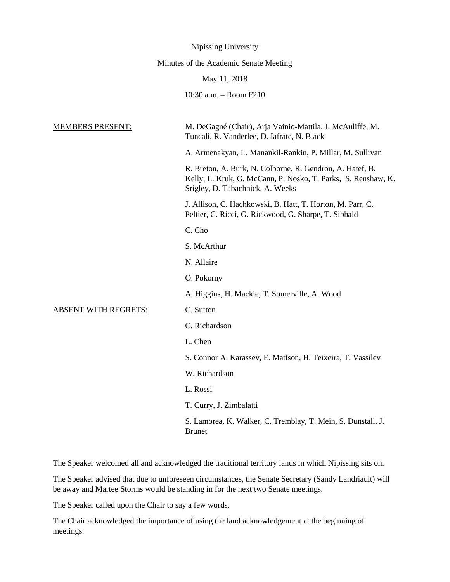|                             | Nipissing University                                                                                                                                           |
|-----------------------------|----------------------------------------------------------------------------------------------------------------------------------------------------------------|
|                             | Minutes of the Academic Senate Meeting                                                                                                                         |
|                             | May 11, 2018                                                                                                                                                   |
|                             | 10:30 a.m. - Room F210                                                                                                                                         |
| <b>MEMBERS PRESENT:</b>     | M. DeGagné (Chair), Arja Vainio-Mattila, J. McAuliffe, M.<br>Tuncali, R. Vanderlee, D. Iafrate, N. Black                                                       |
|                             | A. Armenakyan, L. Manankil-Rankin, P. Millar, M. Sullivan                                                                                                      |
|                             | R. Breton, A. Burk, N. Colborne, R. Gendron, A. Hatef, B.<br>Kelly, L. Kruk, G. McCann, P. Nosko, T. Parks, S. Renshaw, K.<br>Srigley, D. Tabachnick, A. Weeks |
|                             | J. Allison, C. Hachkowski, B. Hatt, T. Horton, M. Parr, C.<br>Peltier, C. Ricci, G. Rickwood, G. Sharpe, T. Sibbald                                            |
|                             | C. Cho                                                                                                                                                         |
|                             | S. McArthur                                                                                                                                                    |
|                             | N. Allaire                                                                                                                                                     |
|                             | O. Pokorny                                                                                                                                                     |
|                             | A. Higgins, H. Mackie, T. Somerville, A. Wood                                                                                                                  |
| <b>ABSENT WITH REGRETS:</b> | C. Sutton                                                                                                                                                      |
|                             | C. Richardson                                                                                                                                                  |
|                             | L. Chen                                                                                                                                                        |
|                             | S. Connor A. Karassev, E. Mattson, H. Teixeira, T. Vassilev                                                                                                    |
|                             | W. Richardson                                                                                                                                                  |
|                             | L. Rossi                                                                                                                                                       |
|                             | T. Curry, J. Zimbalatti                                                                                                                                        |
|                             | S. Lamorea, K. Walker, C. Tremblay, T. Mein, S. Dunstall, J.<br><b>Brunet</b>                                                                                  |

The Speaker welcomed all and acknowledged the traditional territory lands in which Nipissing sits on.

The Speaker advised that due to unforeseen circumstances, the Senate Secretary (Sandy Landriault) will be away and Martee Storms would be standing in for the next two Senate meetings.

The Speaker called upon the Chair to say a few words.

The Chair acknowledged the importance of using the land acknowledgement at the beginning of meetings.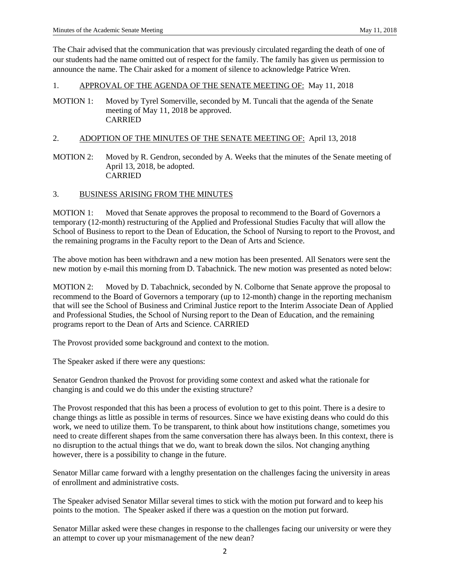The Chair advised that the communication that was previously circulated regarding the death of one of our students had the name omitted out of respect for the family. The family has given us permission to announce the name. The Chair asked for a moment of silence to acknowledge Patrice Wren.

## 1. APPROVAL OF THE AGENDA OF THE SENATE MEETING OF: May 11, 2018

MOTION 1: Moved by Tyrel Somerville, seconded by M. Tuncali that the agenda of the Senate meeting of May 11, 2018 be approved. CARRIED

# 2. ADOPTION OF THE MINUTES OF THE SENATE MEETING OF: April 13, 2018

MOTION 2: Moved by R. Gendron, seconded by A. Weeks that the minutes of the Senate meeting of April 13, 2018, be adopted. CARRIED

## 3. BUSINESS ARISING FROM THE MINUTES

MOTION 1: Moved that Senate approves the proposal to recommend to the Board of Governors a temporary (12-month) restructuring of the Applied and Professional Studies Faculty that will allow the School of Business to report to the Dean of Education, the School of Nursing to report to the Provost, and the remaining programs in the Faculty report to the Dean of Arts and Science.

The above motion has been withdrawn and a new motion has been presented. All Senators were sent the new motion by e-mail this morning from D. Tabachnick. The new motion was presented as noted below:

MOTION 2: Moved by D. Tabachnick, seconded by N. Colborne that Senate approve the proposal to recommend to the Board of Governors a temporary (up to 12-month) change in the reporting mechanism that will see the School of Business and Criminal Justice report to the Interim Associate Dean of Applied and Professional Studies, the School of Nursing report to the Dean of Education, and the remaining programs report to the Dean of Arts and Science. CARRIED

The Provost provided some background and context to the motion.

The Speaker asked if there were any questions:

Senator Gendron thanked the Provost for providing some context and asked what the rationale for changing is and could we do this under the existing structure?

The Provost responded that this has been a process of evolution to get to this point. There is a desire to change things as little as possible in terms of resources. Since we have existing deans who could do this work, we need to utilize them. To be transparent, to think about how institutions change, sometimes you need to create different shapes from the same conversation there has always been. In this context, there is no disruption to the actual things that we do, want to break down the silos. Not changing anything however, there is a possibility to change in the future.

Senator Millar came forward with a lengthy presentation on the challenges facing the university in areas of enrollment and administrative costs.

The Speaker advised Senator Millar several times to stick with the motion put forward and to keep his points to the motion. The Speaker asked if there was a question on the motion put forward.

Senator Millar asked were these changes in response to the challenges facing our university or were they an attempt to cover up your mismanagement of the new dean?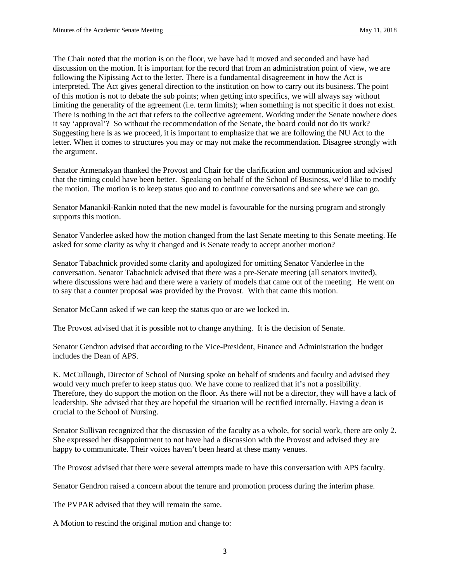The Chair noted that the motion is on the floor, we have had it moved and seconded and have had discussion on the motion. It is important for the record that from an administration point of view, we are following the Nipissing Act to the letter. There is a fundamental disagreement in how the Act is interpreted. The Act gives general direction to the institution on how to carry out its business. The point of this motion is not to debate the sub points; when getting into specifics, we will always say without limiting the generality of the agreement (i.e. term limits); when something is not specific it does not exist. There is nothing in the act that refers to the collective agreement. Working under the Senate nowhere does it say 'approval'? So without the recommendation of the Senate, the board could not do its work? Suggesting here is as we proceed, it is important to emphasize that we are following the NU Act to the letter. When it comes to structures you may or may not make the recommendation. Disagree strongly with the argument.

Senator Armenakyan thanked the Provost and Chair for the clarification and communication and advised that the timing could have been better. Speaking on behalf of the School of Business, we'd like to modify the motion. The motion is to keep status quo and to continue conversations and see where we can go.

Senator Manankil-Rankin noted that the new model is favourable for the nursing program and strongly supports this motion.

Senator Vanderlee asked how the motion changed from the last Senate meeting to this Senate meeting. He asked for some clarity as why it changed and is Senate ready to accept another motion?

Senator Tabachnick provided some clarity and apologized for omitting Senator Vanderlee in the conversation. Senator Tabachnick advised that there was a pre-Senate meeting (all senators invited), where discussions were had and there were a variety of models that came out of the meeting. He went on to say that a counter proposal was provided by the Provost. With that came this motion.

Senator McCann asked if we can keep the status quo or are we locked in.

The Provost advised that it is possible not to change anything. It is the decision of Senate.

Senator Gendron advised that according to the Vice-President, Finance and Administration the budget includes the Dean of APS.

K. McCullough, Director of School of Nursing spoke on behalf of students and faculty and advised they would very much prefer to keep status quo. We have come to realized that it's not a possibility. Therefore, they do support the motion on the floor. As there will not be a director, they will have a lack of leadership. She advised that they are hopeful the situation will be rectified internally. Having a dean is crucial to the School of Nursing.

Senator Sullivan recognized that the discussion of the faculty as a whole, for social work, there are only 2. She expressed her disappointment to not have had a discussion with the Provost and advised they are happy to communicate. Their voices haven't been heard at these many venues.

The Provost advised that there were several attempts made to have this conversation with APS faculty.

Senator Gendron raised a concern about the tenure and promotion process during the interim phase.

The PVPAR advised that they will remain the same.

A Motion to rescind the original motion and change to: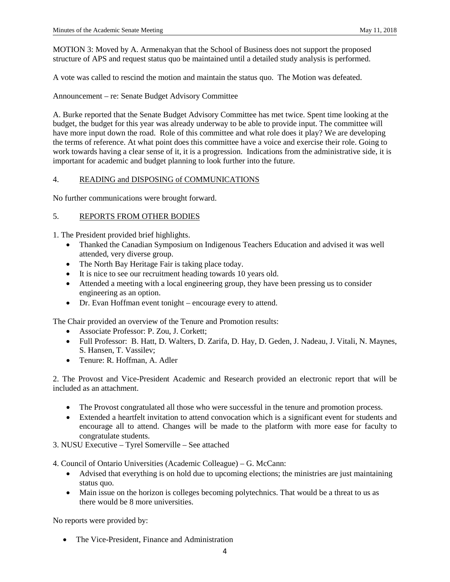MOTION 3: Moved by A. Armenakyan that the School of Business does not support the proposed structure of APS and request status quo be maintained until a detailed study analysis is performed.

A vote was called to rescind the motion and maintain the status quo. The Motion was defeated.

Announcement – re: Senate Budget Advisory Committee

A. Burke reported that the Senate Budget Advisory Committee has met twice. Spent time looking at the budget, the budget for this year was already underway to be able to provide input. The committee will have more input down the road. Role of this committee and what role does it play? We are developing the terms of reference. At what point does this committee have a voice and exercise their role. Going to work towards having a clear sense of it, it is a progression. Indications from the administrative side, it is important for academic and budget planning to look further into the future.

## 4. READING and DISPOSING of COMMUNICATIONS

No further communications were brought forward.

### 5. REPORTS FROM OTHER BODIES

1. The President provided brief highlights.

- Thanked the Canadian Symposium on Indigenous Teachers Education and advised it was well attended, very diverse group.
- The North Bay Heritage Fair is taking place today.
- It is nice to see our recruitment heading towards 10 years old.
- Attended a meeting with a local engineering group, they have been pressing us to consider engineering as an option.
- Dr. Evan Hoffman event tonight encourage every to attend.

The Chair provided an overview of the Tenure and Promotion results:

- Associate Professor: P. Zou, J. Corkett;
- Full Professor: B. Hatt, D. Walters, D. Zarifa, D. Hay, D. Geden, J. Nadeau, J. Vitali, N. Maynes, S. Hansen, T. Vassilev;
- Tenure: R. Hoffman, A. Adler

2. The Provost and Vice-President Academic and Research provided an electronic report that will be included as an attachment.

- The Provost congratulated all those who were successful in the tenure and promotion process.
- Extended a heartfelt invitation to attend convocation which is a significant event for students and encourage all to attend. Changes will be made to the platform with more ease for faculty to congratulate students.
- 3. NUSU Executive Tyrel Somerville See attached

4. Council of Ontario Universities (Academic Colleague) – G. McCann:

- Advised that everything is on hold due to upcoming elections; the ministries are just maintaining status quo.
- Main issue on the horizon is colleges becoming polytechnics. That would be a threat to us as there would be 8 more universities.

No reports were provided by:

• The Vice-President, Finance and Administration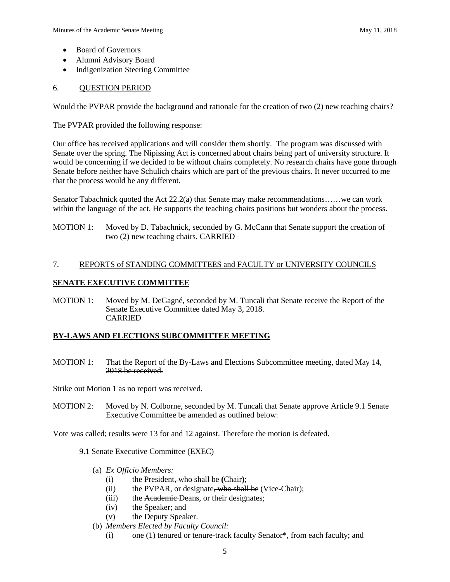- Board of Governors
- Alumni Advisory Board
- Indigenization Steering Committee

## 6. QUESTION PERIOD

Would the PVPAR provide the background and rationale for the creation of two (2) new teaching chairs?

The PVPAR provided the following response:

Our office has received applications and will consider them shortly. The program was discussed with Senate over the spring. The Nipissing Act is concerned about chairs being part of university structure. It would be concerning if we decided to be without chairs completely. No research chairs have gone through Senate before neither have Schulich chairs which are part of the previous chairs. It never occurred to me that the process would be any different.

Senator Tabachnick quoted the Act 22.2(a) that Senate may make recommendations……we can work within the language of the act. He supports the teaching chairs positions but wonders about the process.

MOTION 1: Moved by D. Tabachnick, seconded by G. McCann that Senate support the creation of two (2) new teaching chairs. CARRIED

## 7. REPORTS of STANDING COMMITTEES and FACULTY or UNIVERSITY COUNCILS

## **SENATE EXECUTIVE COMMITTEE**

MOTION 1: Moved by M. DeGagné, seconded by M. Tuncali that Senate receive the Report of the Senate Executive Committee dated May 3, 2018. CARRIED

# **BY-LAWS AND ELECTIONS SUBCOMMITTEE MEETING**

MOTION 1: That the Report of the By-Laws and Elections Subcommittee meeting, dated May 14, 2018 be received.

Strike out Motion 1 as no report was received.

MOTION 2: Moved by N. Colborne, seconded by M. Tuncali that Senate approve Article 9.1 Senate Executive Committee be amended as outlined below:

Vote was called; results were 13 for and 12 against. Therefore the motion is defeated.

- 9.1 Senate Executive Committee (EXEC)
	- (a) *Ex Officio Members:* 
		- (i) the President, who shall be **(**Chair**)**;
		- (ii) the PVPAR, or designate, who shall be (Vice-Chair);
		- (iii) the Academic-Deans, or their designates;
		- (iv) the Speaker; and
		- (v) the Deputy Speaker.
	- (b) *Members Elected by Faculty Council:* 
		- (i) one (1) tenured or tenure-track faculty Senator\*, from each faculty; and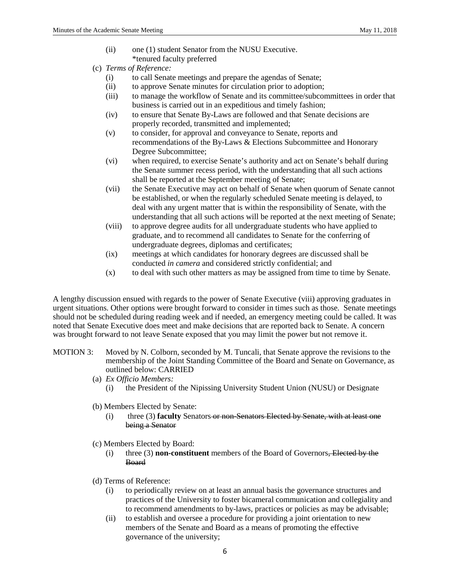- (ii) one (1) student Senator from the NUSU Executive. \*tenured faculty preferred
- (c) *Terms of Reference:* 
	- (i) to call Senate meetings and prepare the agendas of Senate;
	- (ii) to approve Senate minutes for circulation prior to adoption;
	- (iii) to manage the workflow of Senate and its committee/subcommittees in order that business is carried out in an expeditious and timely fashion;
	- (iv) to ensure that Senate By-Laws are followed and that Senate decisions are properly recorded, transmitted and implemented;
	- (v) to consider, for approval and conveyance to Senate, reports and recommendations of the By-Laws & Elections Subcommittee and Honorary Degree Subcommittee;
	- (vi) when required, to exercise Senate's authority and act on Senate's behalf during the Senate summer recess period, with the understanding that all such actions shall be reported at the September meeting of Senate;
	- (vii) the Senate Executive may act on behalf of Senate when quorum of Senate cannot be established, or when the regularly scheduled Senate meeting is delayed, to deal with any urgent matter that is within the responsibility of Senate, with the understanding that all such actions will be reported at the next meeting of Senate;
	- (viii) to approve degree audits for all undergraduate students who have applied to graduate, and to recommend all candidates to Senate for the conferring of undergraduate degrees, diplomas and certificates;
	- (ix) meetings at which candidates for honorary degrees are discussed shall be conducted *in camera* and considered strictly confidential; and
	- (x) to deal with such other matters as may be assigned from time to time by Senate.

A lengthy discussion ensued with regards to the power of Senate Executive (viii) approving graduates in urgent situations. Other options were brought forward to consider in times such as those. Senate meetings should not be scheduled during reading week and if needed, an emergency meeting could be called. It was noted that Senate Executive does meet and make decisions that are reported back to Senate. A concern was brought forward to not leave Senate exposed that you may limit the power but not remove it.

- MOTION 3: Moved by N. Colborn, seconded by M. Tuncali, that Senate approve the revisions to the membership of the Joint Standing Committee of the Board and Senate on Governance, as outlined below: CARRIED
	- (a) *Ex Officio Members:* 
		- (i) the President of the Nipissing University Student Union (NUSU) or Designate
	- (b) Members Elected by Senate:
		- (i) three (3) **faculty** Senators or non-Senators Elected by Senate, with at least one being a Senator
	- (c) Members Elected by Board:
		- (i) three (3) **non-constituent** members of the Board of Governors, Elected by the Board
	- (d) Terms of Reference:
		- (i) to periodically review on at least an annual basis the governance structures and practices of the University to foster bicameral communication and collegiality and to recommend amendments to by-laws, practices or policies as may be advisable;
		- (ii) to establish and oversee a procedure for providing a joint orientation to new members of the Senate and Board as a means of promoting the effective governance of the university;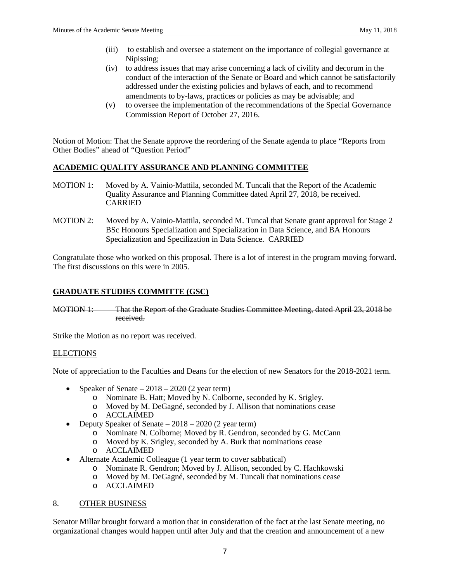- (iii) to establish and oversee a statement on the importance of collegial governance at Nipissing;
- (iv) to address issues that may arise concerning a lack of civility and decorum in the conduct of the interaction of the Senate or Board and which cannot be satisfactorily addressed under the existing policies and bylaws of each, and to recommend amendments to by-laws, practices or policies as may be advisable; and
- (v) to oversee the implementation of the recommendations of the Special Governance Commission Report of October 27, 2016.

Notion of Motion: That the Senate approve the reordering of the Senate agenda to place "Reports from Other Bodies" ahead of "Question Period"

## **ACADEMIC QUALITY ASSURANCE AND PLANNING COMMITTEE**

- MOTION 1: Moved by A. Vainio-Mattila, seconded M. Tuncali that the Report of the Academic Quality Assurance and Planning Committee dated April 27, 2018, be received. CARRIED
- MOTION 2: Moved by A. Vainio-Mattila, seconded M. Tuncal that Senate grant approval for Stage 2 BSc Honours Specialization and Specialization in Data Science, and BA Honours Specialization and Specilization in Data Science. CARRIED

Congratulate those who worked on this proposal. There is a lot of interest in the program moving forward. The first discussions on this were in 2005.

## **GRADUATE STUDIES COMMITTE (GSC)**

MOTION 1: That the Report of the Graduate Studies Committee Meeting, dated April 23, 2018 be received.

Strike the Motion as no report was received.

## **ELECTIONS**

Note of appreciation to the Faculties and Deans for the election of new Senators for the 2018-2021 term.

- Speaker of Senate  $-2018 2020$  (2 year term)
	- o Nominate B. Hatt; Moved by N. Colborne, seconded by K. Srigley.
	- o Moved by M. DeGagné, seconded by J. Allison that nominations cease
	- o ACCLAIMED
- Deputy Speaker of Senate 2018 2020 (2 year term)
	- o Nominate N. Colborne; Moved by R. Gendron, seconded by G. McCann
	- o Moved by K. Srigley, seconded by A. Burk that nominations cease
	- o ACCLAIMED
- Alternate Academic Colleague (1 year term to cover sabbatical)
	- o Nominate R. Gendron; Moved by J. Allison, seconded by C. Hachkowski
	- Moved by M. DeGagné, seconded by M. Tuncali that nominations cease
	- o ACCLAIMED

#### 8. OTHER BUSINESS

Senator Millar brought forward a motion that in consideration of the fact at the last Senate meeting, no organizational changes would happen until after July and that the creation and announcement of a new